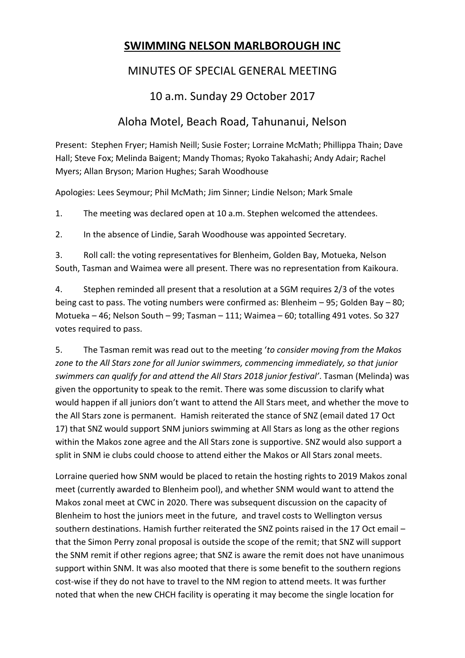## **SWIMMING NELSON MARLBOROUGH INC**

## MINUTES OF SPECIAL GENERAL MEETING

## 10 a.m. Sunday 29 October 2017

## Aloha Motel, Beach Road, Tahunanui, Nelson

Present: Stephen Fryer; Hamish Neill; Susie Foster; Lorraine McMath; Phillippa Thain; Dave Hall; Steve Fox; Melinda Baigent; Mandy Thomas; Ryoko Takahashi; Andy Adair; Rachel Myers; Allan Bryson; Marion Hughes; Sarah Woodhouse

Apologies: Lees Seymour; Phil McMath; Jim Sinner; Lindie Nelson; Mark Smale

1. The meeting was declared open at 10 a.m. Stephen welcomed the attendees.

2. In the absence of Lindie, Sarah Woodhouse was appointed Secretary.

3. Roll call: the voting representatives for Blenheim, Golden Bay, Motueka, Nelson South, Tasman and Waimea were all present. There was no representation from Kaikoura.

4. Stephen reminded all present that a resolution at a SGM requires 2/3 of the votes being cast to pass. The voting numbers were confirmed as: Blenheim – 95; Golden Bay – 80; Motueka – 46; Nelson South – 99; Tasman – 111; Waimea – 60; totalling 491 votes. So 327 votes required to pass.

5. The Tasman remit was read out to the meeting '*to consider moving from the Makos zone to the All Stars zone for all Junior swimmers, commencing immediately, so that junior swimmers can qualify for and attend the All Stars 2018 junior festival'*. Tasman (Melinda) was given the opportunity to speak to the remit. There was some discussion to clarify what would happen if all juniors don't want to attend the All Stars meet, and whether the move to the All Stars zone is permanent. Hamish reiterated the stance of SNZ (email dated 17 Oct 17) that SNZ would support SNM juniors swimming at All Stars as long as the other regions within the Makos zone agree and the All Stars zone is supportive. SNZ would also support a split in SNM ie clubs could choose to attend either the Makos or All Stars zonal meets.

Lorraine queried how SNM would be placed to retain the hosting rights to 2019 Makos zonal meet (currently awarded to Blenheim pool), and whether SNM would want to attend the Makos zonal meet at CWC in 2020. There was subsequent discussion on the capacity of Blenheim to host the juniors meet in the future, and travel costs to Wellington versus southern destinations. Hamish further reiterated the SNZ points raised in the 17 Oct email – that the Simon Perry zonal proposal is outside the scope of the remit; that SNZ will support the SNM remit if other regions agree; that SNZ is aware the remit does not have unanimous support within SNM. It was also mooted that there is some benefit to the southern regions cost-wise if they do not have to travel to the NM region to attend meets. It was further noted that when the new CHCH facility is operating it may become the single location for